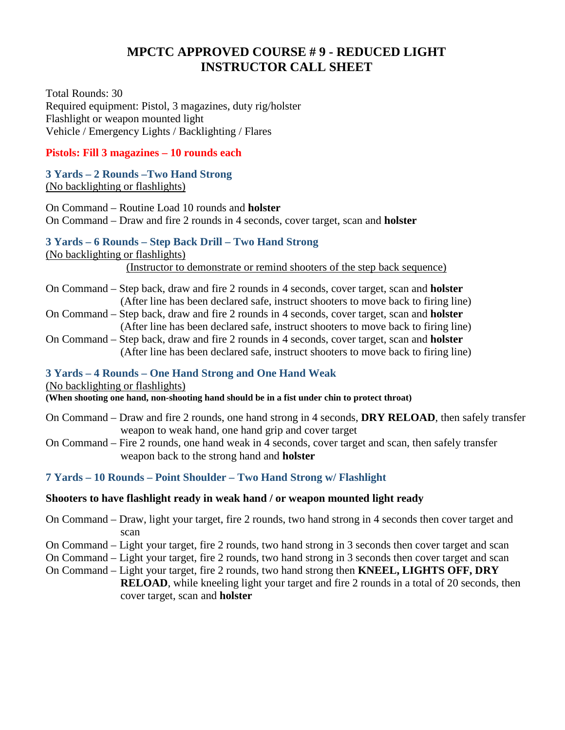# **MPCTC APPROVED COURSE # 9 - REDUCED LIGHT INSTRUCTOR CALL SHEET**

Total Rounds: 30 Required equipment: Pistol, 3 magazines, duty rig/holster Flashlight or weapon mounted light Vehicle / Emergency Lights / Backlighting / Flares

### **Pistols: Fill 3 magazines – 10 rounds each**

#### **3 Yards – 2 Rounds –Two Hand Strong**  (No backlighting or flashlights)

On Command – Routine Load 10 rounds and **holster** On Command – Draw and fire 2 rounds in 4 seconds, cover target, scan and **holster**

#### **3 Yards – 6 Rounds – Step Back Drill – Two Hand Strong**

(No backlighting or flashlights)

(Instructor to demonstrate or remind shooters of the step back sequence)

- On Command Step back, draw and fire 2 rounds in 4 seconds, cover target, scan and **holster** (After line has been declared safe, instruct shooters to move back to firing line)
- On Command Step back, draw and fire 2 rounds in 4 seconds, cover target, scan and **holster** (After line has been declared safe, instruct shooters to move back to firing line)
- On Command Step back, draw and fire 2 rounds in 4 seconds, cover target, scan and **holster** (After line has been declared safe, instruct shooters to move back to firing line)

## **3 Yards – 4 Rounds – One Hand Strong and One Hand Weak**

#### (No backlighting or flashlights)

**(When shooting one hand, non-shooting hand should be in a fist under chin to protect throat)**

- On Command Draw and fire 2 rounds, one hand strong in 4 seconds, **DRY RELOAD**, then safely transfer weapon to weak hand, one hand grip and cover target
- On Command Fire 2 rounds, one hand weak in 4 seconds, cover target and scan, then safely transfer weapon back to the strong hand and **holster**

## **7 Yards – 10 Rounds – Point Shoulder – Two Hand Strong w/ Flashlight**

## **Shooters to have flashlight ready in weak hand / or weapon mounted light ready**

- On Command Draw, light your target, fire 2 rounds, two hand strong in 4 seconds then cover target and scan
- On Command Light your target, fire 2 rounds, two hand strong in 3 seconds then cover target and scan
- On Command Light your target, fire 2 rounds, two hand strong in 3 seconds then cover target and scan
- On Command Light your target, fire 2 rounds, two hand strong then **KNEEL, LIGHTS OFF, DRY RELOAD**, while kneeling light your target and fire 2 rounds in a total of 20 seconds, then cover target, scan and **holster**